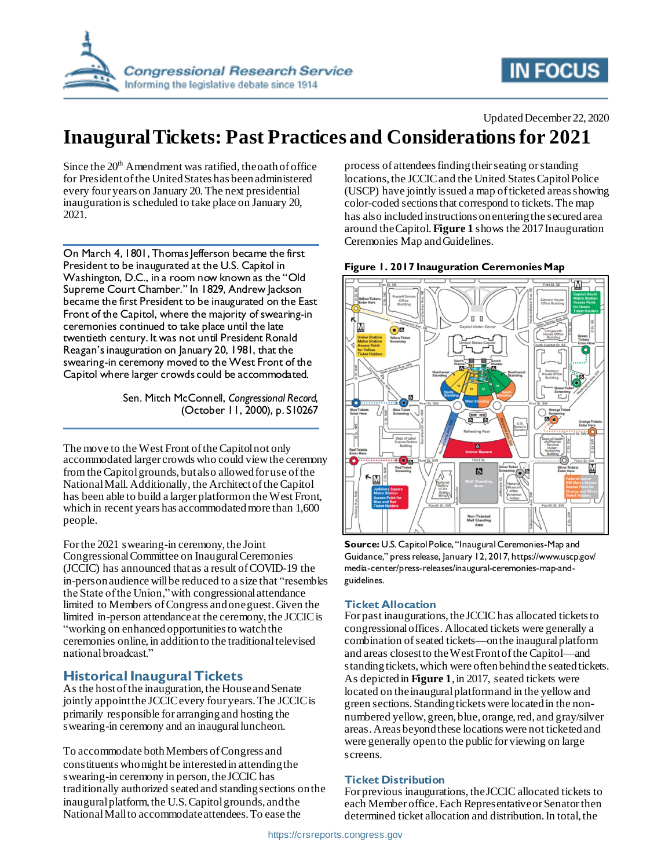

# **IN FOCUS**

#### Updated December 22, 2020

# **Inaugural Tickets: Past Practices and Considerations for 2021**

Since the  $20<sup>th</sup>$  Amendment was ratified, the oath of office for President of the United States has been administered every four years on January 20. The next presidential inauguration is scheduled to take place on January 20, 2021.

On March 4, 1801, Thomas Jefferson became the first President to be inaugurated at the U.S. Capitol in Washington, D.C., in a room now known as the "Old Supreme Court Chamber." In 1829, Andrew Jackson became the first President to be inaugurated on the East Front of the Capitol, where the majority of swearing-in ceremonies continued to take place until the late twentieth century. It was not until President Ronald Reagan's inauguration on January 20, 1981, that the swearing-in ceremony moved to the West Front of the Capitol where larger crowds could be accommodated.

> Sen. Mitch McConnell, *Congressional Record*, (October 11, 2000), p. S10267

The move to the West Front of the Capitol not only accommodated larger crowds who could view the ceremony from the Capitol grounds, but also allowed for use of the National Mall. Additionally, the Architect of the Capitol has been able to build a larger platform on the West Front, which in recent years has accommodatedmore than 1,600 people.

For the 2021 swearing-in ceremony, the Joint Congressional Committee on Inaugural Ceremonies (JCCIC) has announced that as a result of COVID-19 the in-person audience will be reduced to a size that "resembles the State of the Union," with congressional attendance limited to Members of Congress and one guest.Given the limited in-person attendance at the ceremony, the JCCIC is "working on enhanced opportunities to watch the ceremonies online, in addition to the traditional televised national broadcast."

### **Historical Inaugural Tickets**

As the host of the inauguration, the House and Senate jointly appoint the JCCIC every four years. The JCCIC is primarily responsible for arranging and hosting the swearing-in ceremony and an inaugural luncheon.

To accommodate both Members of Congress and constituents who might be interested in attending the swearing-in ceremony in person, the JCCIC has traditionally authorized seated and standing sections on the inaugural platform, the U.S. Capitol grounds, and the National Mall to accommodate attendees. To ease the

process of attendees finding their seating or standing locations, the JCCIC and the United States Capitol Police (USCP) have jointly issued a map of ticketed areas showing color-coded sectionsthat correspond to tickets. The map has also included instructions on entering the secured area around the Capitol. **[Figure 1](#page-0-0)** shows the 2017 Inauguration Ceremonies Map and Guidelines.



#### <span id="page-0-0"></span>**Figure 1. 2017 Inauguration Ceremonies Map**

**Source:** U.S. Capitol Police, "Inaugural Ceremonies-Map and Guidance," press release, January 12, 2017, https://www.uscp.gov/ media-center/press-releases/inaugural-ceremonies-map-andguidelines.

#### **Ticket Allocation**

For past inaugurations, the JCCIC has allocated tickets to congressional offices. Allocated tickets were generally a combination of seated tickets—on the inaugural platform and areas closest to the West Front of the Capitol—and standing tickets, which were often behind the seatedtickets. As depicted in **[Figure 1](#page-0-0)**, in 2017, seated tickets were located on the inaugural platform and in the yellow and green sections. Standing tickets were located in the nonnumbered yellow, green, blue, orange, red, and gray/silver areas. Areas beyond these locations were not ticketed and were generally open to the public for viewing on large screens.

#### **Ticket Distribution**

For previous inaugurations, the JCCIC allocated tickets to each Member office. Each Representative or Senator then determined ticket allocation and distribution. In total, the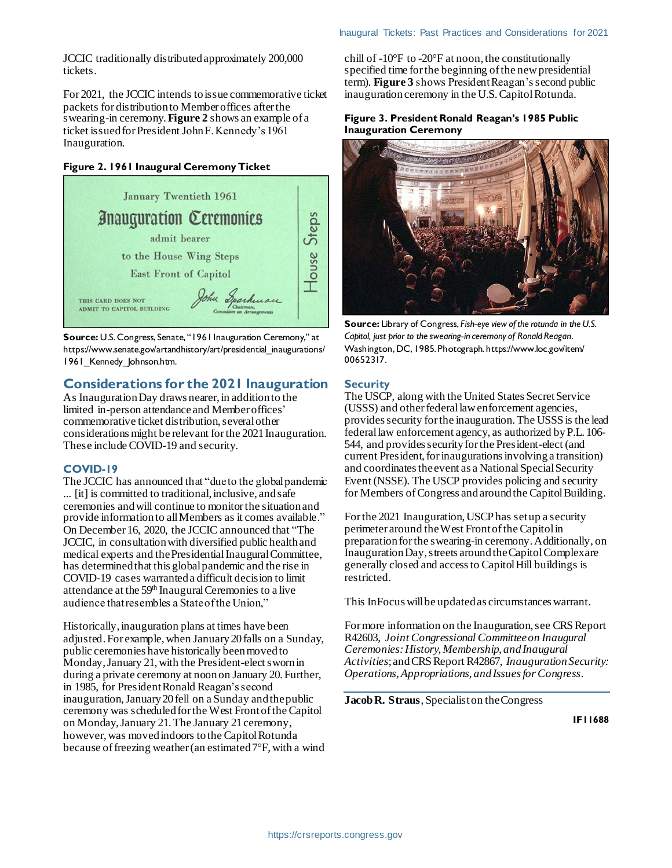JCCIC traditionally distributed approximately 200,000 tickets.

For 2021, the JCCIC intends to issue commemorative ticket packets for distribution to Member offices after the swearing-in ceremony.**[Figure 2](#page-1-0)** shows an example of a ticket issued for President John F. Kennedy's 1961 Inauguration.

#### <span id="page-1-0"></span>**Figure 2. 1961 Inaugural Ceremony Ticket**



**Source:** U.S. Congress, Senate, "1961 Inauguration Ceremony," at https://www.senate.gov/artandhistory/art/presidential\_inaugurations/ 1961 Kennedy Johnson.htm.

### **Considerations for the 2021 Inauguration**

As Inauguration Day draws nearer, in addition to the limited in-person attendanceand Member offices' commemorative ticket distribution, several other considerations might be relevant for the 2021 Inauguration. These include COVID-19 and security.

#### **COVID-19**

The JCCIC has announced that "due to the global pandemic ... [it] is committed to traditional, inclusive, and safe ceremonies and will continue to monitor the situation and provide information to all Members as it comes available." On December 16, 2020, the JCCIC announced that "The JCCIC, in consultation with diversified public health and medical experts and the Presidential Inaugural Committee, has determined that this global pandemic and the rise in COVID-19 cases warranted a difficult decision to limit attendance at the 59<sup>th</sup> Inaugural Ceremonies to a live audience that resembles a State of the Union,"

Historically, inauguration plans at times have been adjusted. For example, when January 20 falls on a Sunday, public ceremonies have historically been moved to Monday, January 21, with the President-elect sworn in during a private ceremony at noon on January 20. Further, in 1985, for President Ronald Reagan's second inauguration, January 20 fell on a Sunday and the public ceremony was scheduledfor the West Front of the Capitol on Monday, January 21. The January 21 ceremony, however, was moved indoors to the Capitol Rotunda because of freezing weather (an estimated 7°F, with a wind chill of -10°F to -20°F at noon, the constitutionally specified time for the beginning of the new presidential term). **[Figure 3](#page-1-1)** shows President Reagan'ssecond public inauguration ceremony in the U.S. Capitol Rotunda.

#### <span id="page-1-1"></span>**Figure 3. President Ronald Reagan's 1985 Public Inauguration Ceremony**



**Source:** Library of Congress, *Fish-eye view of the rotunda in the U.S. Capitol, just prior to the swearing-in ceremony of Ronald Reagan*. Washington,DC, 1985. Photograph. https://www.loc.gov/item/ 00652317.

#### **Security**

The USCP, along with the United States Secret Service (USSS) and other federal law enforcement agencies, provides security for the inauguration. The USSS is the lead federal law enforcement agency, as authorized byP.L. 106- 544, and provides security for the President-elect (and current President, for inaugurations involving a transition) and coordinates the event as a National Special Security Event (NSSE). The USCP provides policing and security for Members of Congress and around the Capitol Building.

For the 2021 Inauguration, USCP has set up a security perimeter around the West Front of the Capitol in preparation for the swearing-in ceremony. Additionally, on Inauguration Day, streets around the Capitol Complex are generally closed and access to Capitol Hill buildings is restricted.

This InFocus will be updated as circumstances warrant.

For more information on the Inauguration, see CRS Report R42603, *Joint Congressional Committee on Inaugural Ceremonies: History, Membership, and Inaugural Activities*; and CRS Report R42867, *Inauguration Security: Operations, Appropriations, and Issues for Congress*.

**Jacob R. Straus**, Specialist on the Congress

**IF11688**